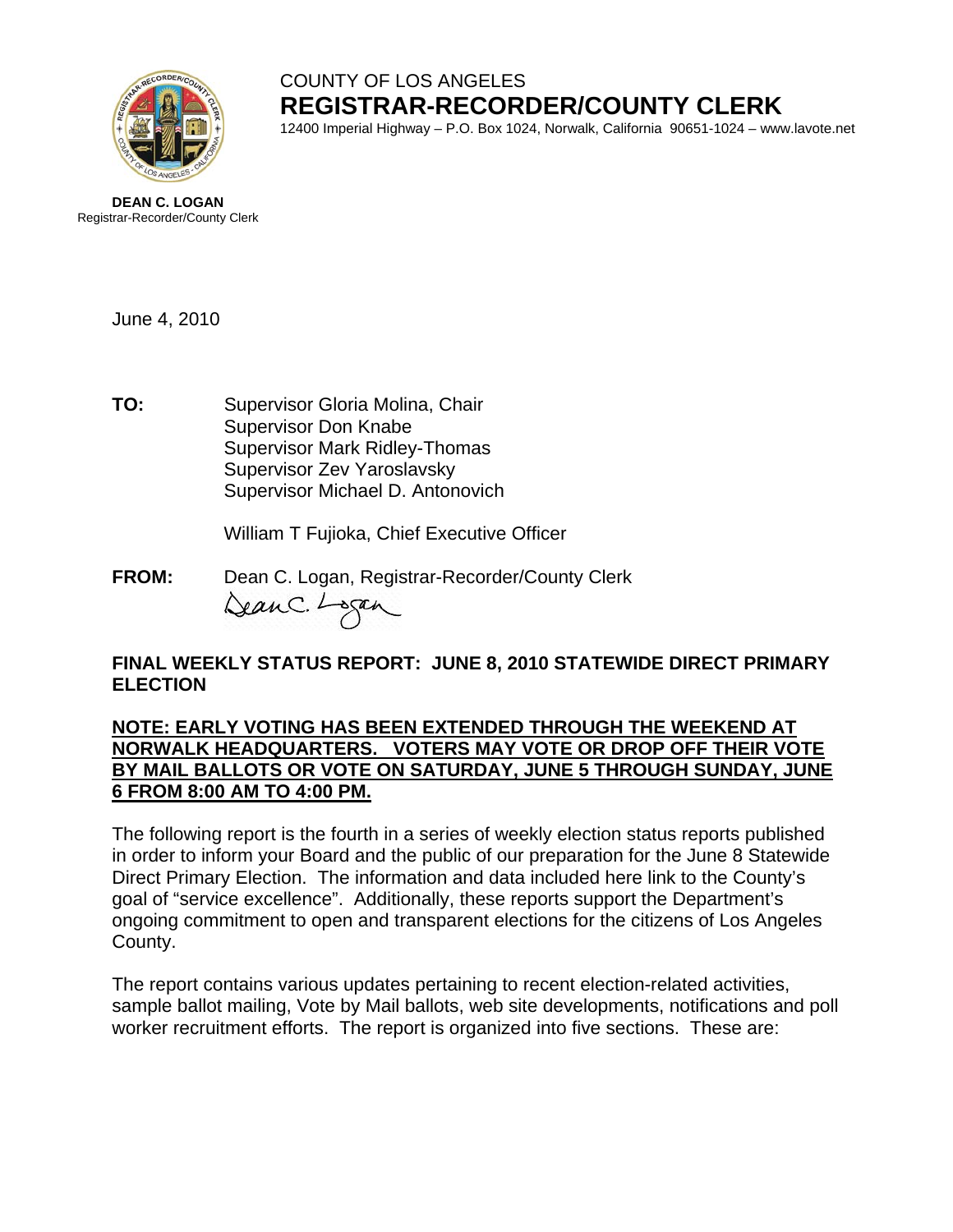

# COUNTY OF LOS ANGELES **REGISTRAR-RECORDER/COUNTY CLERK**

12400 Imperial Highway – P.O. Box 1024, Norwalk, California 90651-1024 – www.lavote.net



June 4, 2010

**TO:** Supervisor Gloria Molina, Chair Supervisor Don Knabe Supervisor Mark Ridley-Thomas Supervisor Zev Yaroslavsky Supervisor Michael D. Antonovich

William T Fujioka, Chief Executive Officer

**FROM:** Dean C. Logan, Registrar-Recorder/County Clerk<br> $\triangle\alpha\alpha\alpha\alpha$ .  $\overline{\phantom{\alpha\alpha\beta\alpha\beta\gamma}}$ 

### **FINAL WEEKLY STATUS REPORT: JUNE 8, 2010 STATEWIDE DIRECT PRIMARY ELECTION**

#### **NOTE: EARLY VOTING HAS BEEN EXTENDED THROUGH THE WEEKEND AT NORWALK HEADQUARTERS. VOTERS MAY VOTE OR DROP OFF THEIR VOTE BY MAIL BALLOTS OR VOTE ON SATURDAY, JUNE 5 THROUGH SUNDAY, JUNE 6 FROM 8:00 AM TO 4:00 PM.**

The following report is the fourth in a series of weekly election status reports published in order to inform your Board and the public of our preparation for the June 8 Statewide Direct Primary Election. The information and data included here link to the County's goal of "service excellence". Additionally, these reports support the Department's ongoing commitment to open and transparent elections for the citizens of Los Angeles County.

The report contains various updates pertaining to recent election-related activities, sample ballot mailing, Vote by Mail ballots, web site developments, notifications and poll worker recruitment efforts. The report is organized into five sections. These are: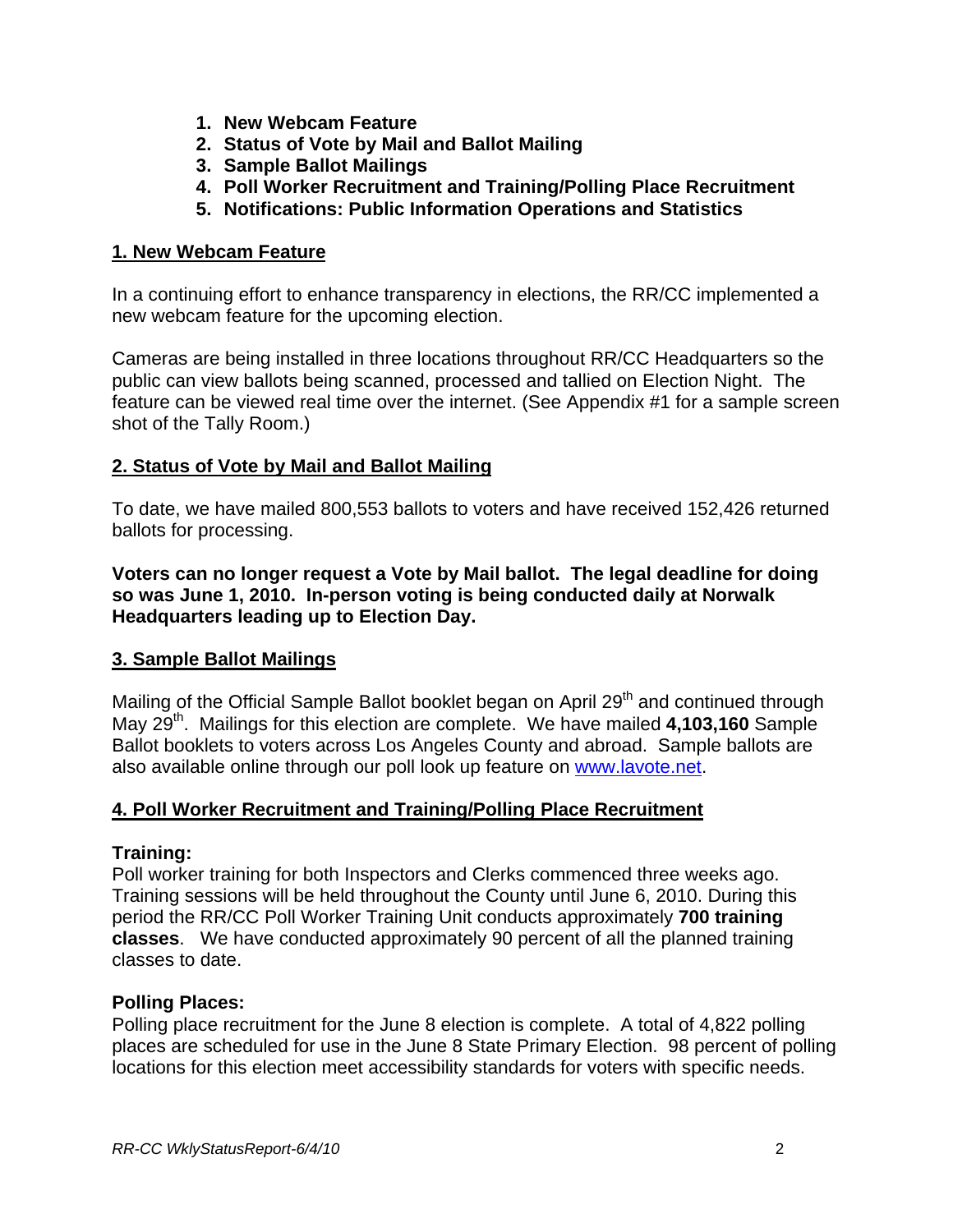- **1. New Webcam Feature**
- **2. Status of Vote by Mail and Ballot Mailing**
- **3. Sample Ballot Mailings**
- **4. Poll Worker Recruitment and Training/Polling Place Recruitment**
- **5. Notifications: Public Information Operations and Statistics**

#### **1. New Webcam Feature**

In a continuing effort to enhance transparency in elections, the RR/CC implemented a new webcam feature for the upcoming election.

Cameras are being installed in three locations throughout RR/CC Headquarters so the public can view ballots being scanned, processed and tallied on Election Night. The feature can be viewed real time over the internet. (See Appendix #1 for a sample screen shot of the Tally Room.)

# **2. Status of Vote by Mail and Ballot Mailing**

To date, we have mailed 800,553 ballots to voters and have received 152,426 returned ballots for processing.

**Voters can no longer request a Vote by Mail ballot. The legal deadline for doing so was June 1, 2010. In-person voting is being conducted daily at Norwalk Headquarters leading up to Election Day.** 

#### **3. Sample Ballot Mailings**

Mailing of the Official Sample Ballot booklet began on April 29<sup>th</sup> and continued through May 29<sup>th</sup>. Mailings for this election are complete. We have mailed **4,103,160** Sample Ballot booklets to voters across Los Angeles County and abroad. Sample ballots are also available online through our poll look up feature on [www.lavote.net.](http://www.lavote.net/)

# **4. Poll Worker Recruitment and Training/Polling Place Recruitment**

#### **Training:**

Poll worker training for both Inspectors and Clerks commenced three weeks ago. Training sessions will be held throughout the County until June 6, 2010. During this period the RR/CC Poll Worker Training Unit conducts approximately **700 training classes**. We have conducted approximately 90 percent of all the planned training classes to date.

#### **Polling Places:**

Polling place recruitment for the June 8 election is complete. A total of 4,822 polling places are scheduled for use in the June 8 State Primary Election. 98 percent of polling locations for this election meet accessibility standards for voters with specific needs.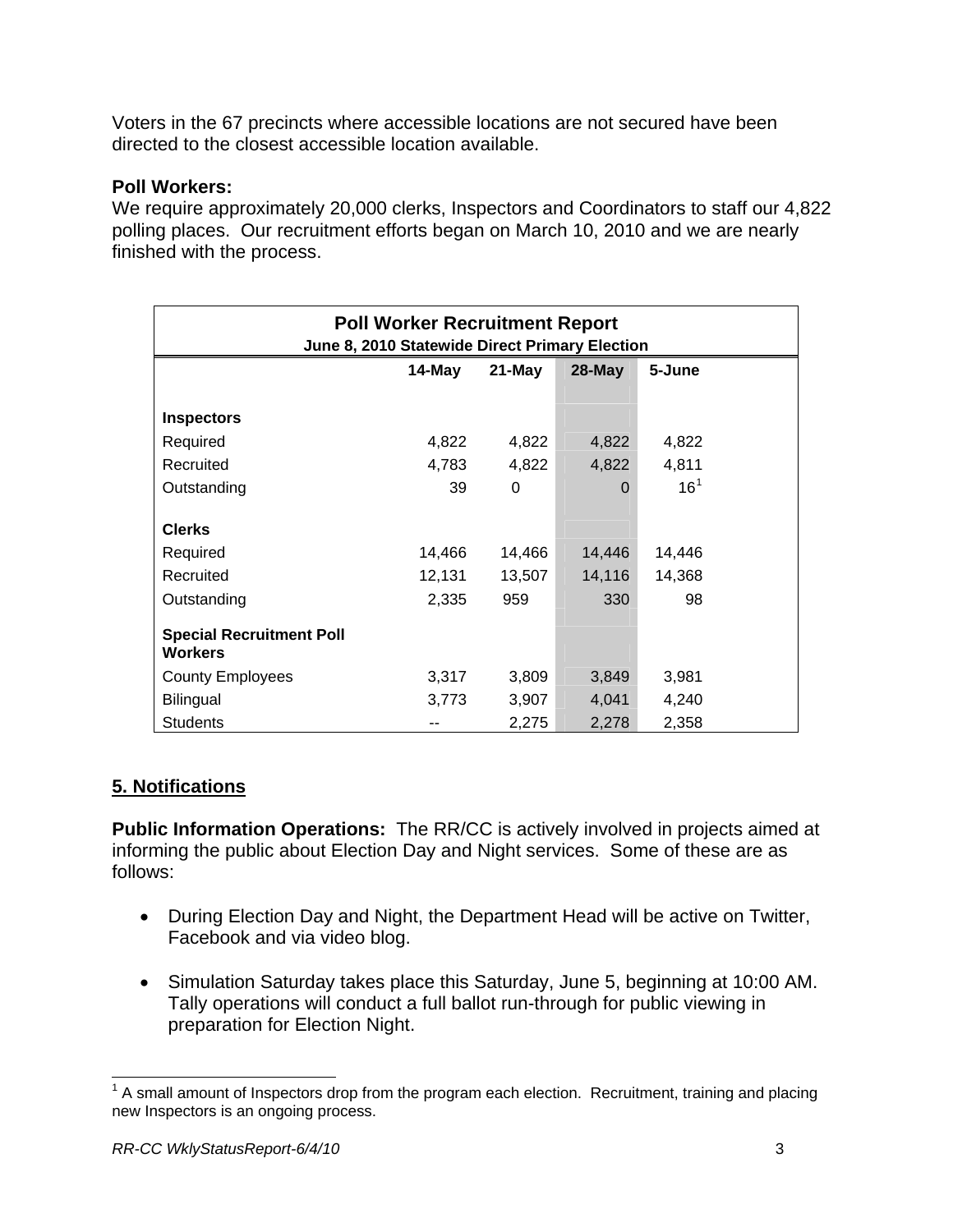Voters in the 67 precincts where accessible locations are not secured have been directed to the closest accessible location available.

#### **Poll Workers:**

We require approximately 20,000 clerks, Inspectors and Coordinators to staff our 4,822 polling places. Our recruitment efforts began on March 10, 2010 and we are nearly finished with the process.

| <b>Poll Worker Recruitment Report</b><br>June 8, 2010 Statewide Direct Primary Election |           |           |          |                 |  |
|-----------------------------------------------------------------------------------------|-----------|-----------|----------|-----------------|--|
|                                                                                         | $14$ -May | $21$ -May | 28-May   | 5-June          |  |
| <b>Inspectors</b>                                                                       |           |           |          |                 |  |
| Required                                                                                | 4,822     | 4,822     | 4,822    | 4,822           |  |
| Recruited                                                                               | 4,783     | 4,822     | 4,822    | 4,811           |  |
| Outstanding                                                                             | 39        | $\Omega$  | $\Omega$ | 16 <sup>1</sup> |  |
| <b>Clerks</b>                                                                           |           |           |          |                 |  |
| Required                                                                                | 14,466    | 14,466    | 14,446   | 14,446          |  |
| Recruited                                                                               | 12,131    | 13,507    | 14,116   | 14,368          |  |
| Outstanding                                                                             | 2,335     | 959       | 330      | 98              |  |
| <b>Special Recruitment Poll</b><br>Workers                                              |           |           |          |                 |  |
| <b>County Employees</b>                                                                 | 3,317     | 3,809     | 3,849    | 3,981           |  |
| Bilingual                                                                               | 3,773     | 3,907     | 4,041    | 4,240           |  |
| <b>Students</b>                                                                         |           | 2,275     | 2,278    | 2,358           |  |

# **5. Notifications**

**Public Information Operations:** The RR/CC is actively involved in projects aimed at informing the public about Election Day and Night services. Some of these are as follows:

- During Election Day and Night, the Department Head will be active on Twitter, Facebook and via video blog.
- Simulation Saturday takes place this Saturday, June 5, beginning at 10:00 AM. Tally operations will conduct a full ballot run-through for public viewing in preparation for Election Night.

<span id="page-2-0"></span><sup>&</sup>lt;u>nece measure measure measure measure measure measure measure measure measure measure measure measure measure m</u><br><sup>1</sup> A small amount of Inspectors drop from the program each election. Recruitment, training and placing new Inspectors is an ongoing process.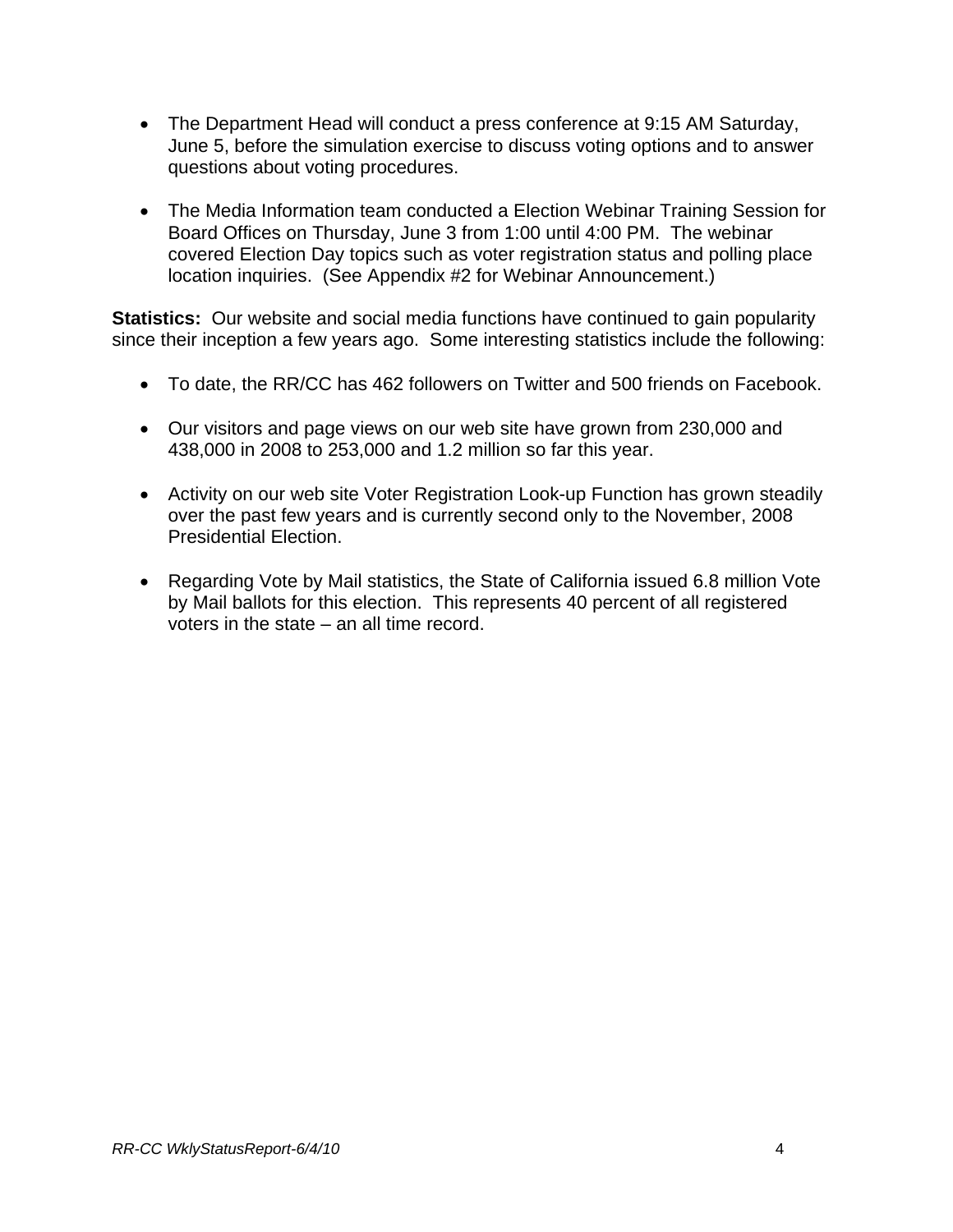- The Department Head will conduct a press conference at 9:15 AM Saturday, June 5, before the simulation exercise to discuss voting options and to answer questions about voting procedures.
- The Media Information team conducted a Election Webinar Training Session for Board Offices on Thursday, June 3 from 1:00 until 4:00 PM. The webinar covered Election Day topics such as voter registration status and polling place location inquiries. (See Appendix #2 for Webinar Announcement.)

**Statistics:** Our website and social media functions have continued to gain popularity since their inception a few years ago. Some interesting statistics include the following:

- To date, the RR/CC has 462 followers on Twitter and 500 friends on Facebook.
- Our visitors and page views on our web site have grown from 230,000 and 438,000 in 2008 to 253,000 and 1.2 million so far this year.
- Activity on our web site Voter Registration Look-up Function has grown steadily over the past few years and is currently second only to the November, 2008 Presidential Election.
- Regarding Vote by Mail statistics, the State of California issued 6.8 million Vote by Mail ballots for this election. This represents 40 percent of all registered voters in the state – an all time record.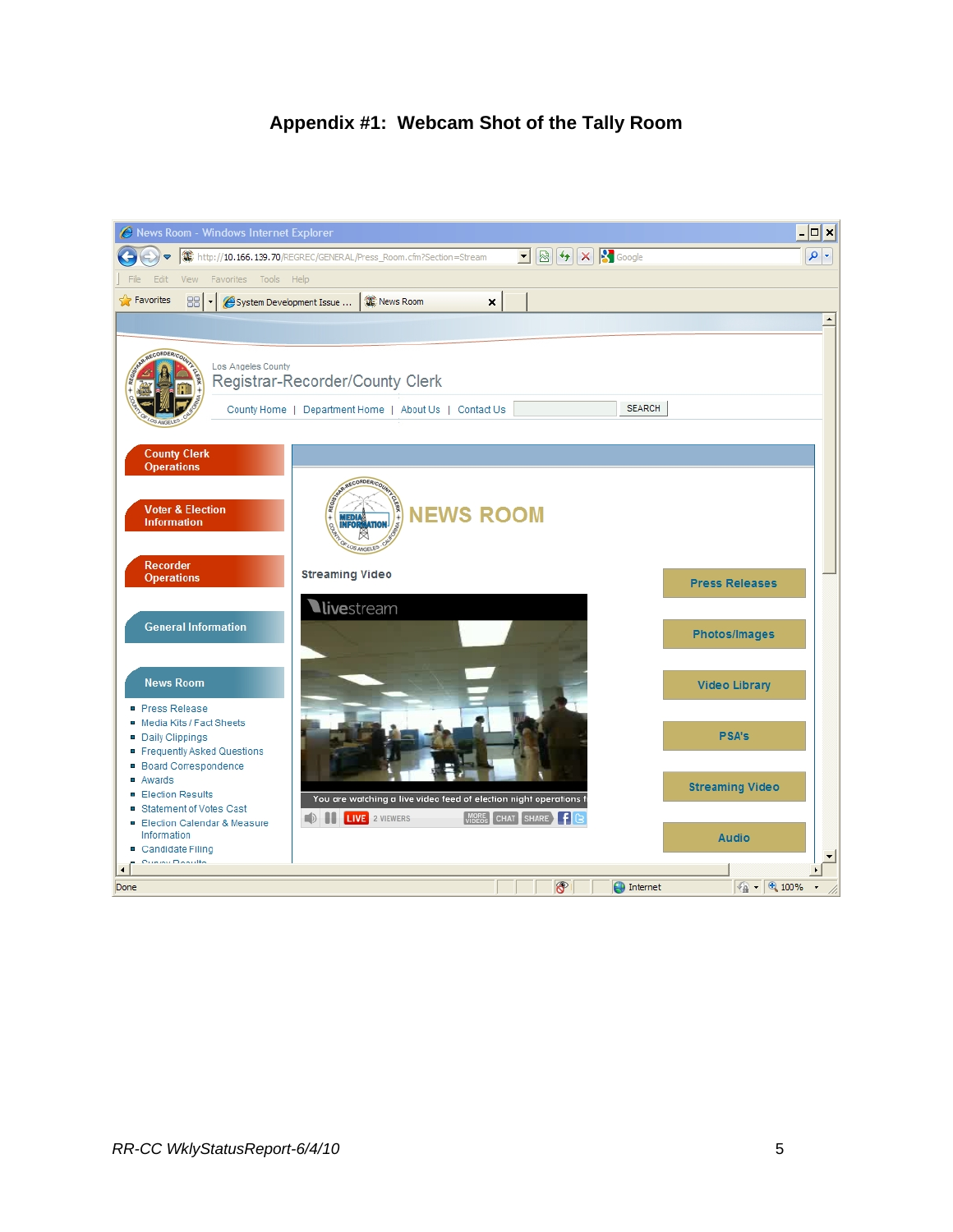# **Appendix #1: Webcam Shot of the Tally Room**